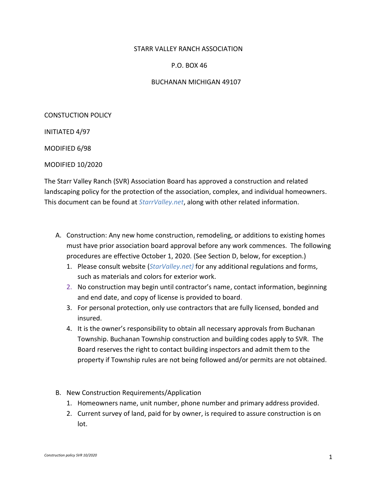## STARR VALLEY RANCH ASSOCIATION

## P.O. BOX 46

## BUCHANAN MICHIGAN 49107

CONSTUCTION POLICY

INITIATED 4/97

MODIFIED 6/98

MODIFIED 10/2020

The Starr Valley Ranch (SVR) Association Board has approved a construction and related landscaping policy for the protection of the association, complex, and individual homeowners. This document can be found at *StarrValley.net*, along with other related information.

- A. Construction: Any new home construction, remodeling, or additions to existing homes must have prior association board approval before any work commences. The following procedures are effective October 1, 2020. (See Section D, below, for exception.)
	- 1. Please consult website (*StarValley.net)* for any additional regulations and forms, such as materials and colors for exterior work.
	- 2. No construction may begin until contractor's name, contact information, beginning and end date, and copy of license is provided to board.
	- 3. For personal protection, only use contractors that are fully licensed, bonded and insured.
	- 4. It is the owner's responsibility to obtain all necessary approvals from Buchanan Township. Buchanan Township construction and building codes apply to SVR. The Board reserves the right to contact building inspectors and admit them to the property if Township rules are not being followed and/or permits are not obtained.
- B. New Construction Requirements/Application
	- 1. Homeowners name, unit number, phone number and primary address provided.
	- 2. Current survey of land, paid for by owner, is required to assure construction is on lot.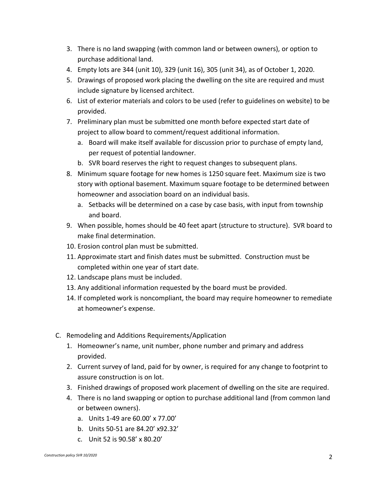- 3. There is no land swapping (with common land or between owners), or option to purchase additional land.
- 4. Empty lots are 344 (unit 10), 329 (unit 16), 305 (unit 34), as of October 1, 2020.
- 5. Drawings of proposed work placing the dwelling on the site are required and must include signature by licensed architect.
- 6. List of exterior materials and colors to be used (refer to guidelines on website) to be provided.
- 7. Preliminary plan must be submitted one month before expected start date of project to allow board to comment/request additional information.
	- a. Board will make itself available for discussion prior to purchase of empty land, per request of potential landowner.
	- b. SVR board reserves the right to request changes to subsequent plans.
- 8. Minimum square footage for new homes is 1250 square feet. Maximum size is two story with optional basement. Maximum square footage to be determined between homeowner and association board on an individual basis.
	- a. Setbacks will be determined on a case by case basis, with input from township and board.
- 9. When possible, homes should be 40 feet apart (structure to structure). SVR board to make final determination.
- 10. Erosion control plan must be submitted.
- 11. Approximate start and finish dates must be submitted. Construction must be completed within one year of start date.
- 12. Landscape plans must be included.
- 13. Any additional information requested by the board must be provided.
- 14. If completed work is noncompliant, the board may require homeowner to remediate at homeowner's expense.
- C. Remodeling and Additions Requirements/Application
	- 1. Homeowner's name, unit number, phone number and primary and address provided.
	- 2. Current survey of land, paid for by owner, is required for any change to footprint to assure construction is on lot.
	- 3. Finished drawings of proposed work placement of dwelling on the site are required.
	- 4. There is no land swapping or option to purchase additional land (from common land or between owners).
		- a. Units 1-49 are 60.00' x 77.00'
		- b. Units 50-51 are 84.20' x92.32'
		- c. Unit 52 is 90.58' x 80.20'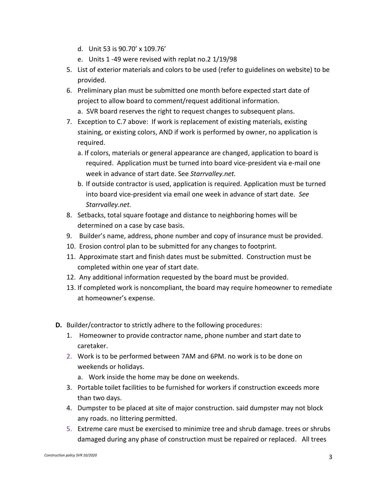- d. Unit 53 is 90.70' x 109.76'
- e. Units 1 -49 were revised with replat no.2 1/19/98
- 5. List of exterior materials and colors to be used (refer to guidelines on website) to be provided.
- 6. Preliminary plan must be submitted one month before expected start date of project to allow board to comment/request additional information.
	- a. SVR board reserves the right to request changes to subsequent plans.
- 7. Exception to C.7 above: If work is replacement of existing materials, existing staining, or existing colors, AND if work is performed by owner, no application is required.
	- a. If colors, materials or general appearance are changed, application to board is required. Application must be turned into board vice-president via e-mail one week in advance of start date. See *Starrvalley.net.*
	- b. If outside contractor is used, application is required. Application must be turned into board vice-president via email one week in advance of start date. *See Starrvalley.net.*
- 8. Setbacks, total square footage and distance to neighboring homes will be determined on a case by case basis.
- 9. Builder's name, address, phone number and copy of insurance must be provided.
- 10. Erosion control plan to be submitted for any changes to footprint.
- 11. Approximate start and finish dates must be submitted. Construction must be completed within one year of start date.
- 12. Any additional information requested by the board must be provided.
- 13. If completed work is noncompliant, the board may require homeowner to remediate at homeowner's expense.
- **D.** Builder/contractor to strictly adhere to the following procedures:
	- 1. Homeowner to provide contractor name, phone number and start date to caretaker.
	- 2. Work is to be performed between 7AM and 6PM. no work is to be done on weekends or holidays.
		- a. Work inside the home may be done on weekends.
	- 3. Portable toilet facilities to be furnished for workers if construction exceeds more than two days.
	- 4. Dumpster to be placed at site of major construction. said dumpster may not block any roads. no littering permitted.
	- 5. Extreme care must be exercised to minimize tree and shrub damage. trees or shrubs damaged during any phase of construction must be repaired or replaced. All trees